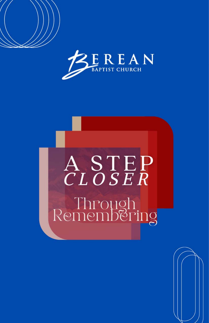





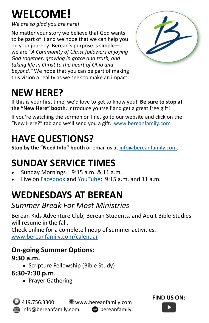# **WELCOME!**

*We are so glad you are here!*

No matter your story we believe that God wants to be part of it and we hope that we can help you on your journey. Berean's purpose is simple we are *"A Community of Christ followers enjoying God together, growing in grace and truth, and taking life in Christ to the heart of Ohio and beyond."* We hope that you can be part of making this vision a reality as we seek to make an impact.



# **NEW HERE?**

If this is your first time, we'd love to get to know you! **Be sure to stop at** the "New Here" booth, introduce yourself and get a great free gift!

If you're watching the sermon on line, go to our website and click on the "New Here?" tab and we'll send you a gift. www.bereanfamily.com

# **HAVE QUESTIONS?**

**Stop by the "Need Info" booth** or email us at info@bereanfamily.com.

# **SUNDAY SERVICE TIMES**

- $\bullet$ Sunday Mornings : 9:15 a.m. & 11 a.m.
- $\bullet$ Live on Facebook and YouTube: 9:15 a.m. and 11 a.m.

# **WEDNESDAYS AT BEREAN**

# *Summer Break For Most Ministries*

Berean Kids Adventure Club, Berean Students, and Adult Bible Studies will resume in the fall.

Check online for a complete lineup of summer activities. www.bereanfamily.com/calendar

# **On-going Summer Options:**

## **9:30 a.m.**

• Scripture Fellowship (Bible Study)

## **6:30-7:30 p.m**.

• Prayer Gathering



**FIND US ON:**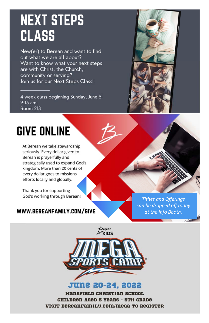# **NEXT STEPS CLASS**

New(er) to Berean and want to find out what we are all about? Want to know what your next steps are with Christ, the Church, community or serving? Join us for our Next Steps Class!

4 week class beginning Sunday, June 5  $9:15$  am **Room 213** 



# **GIVE ONLINE**

At Berean we take stewardship seriously. Every dollar given to Berean is prayerfully and strategically used to expand God's kingdom. More than 20 cents of every dollar goes to missions efforts locally and globally.

Thank you for supporting God's working through Berean!

#### WWW.BEREANFAMILY.COM/GIVE

**Tithes and Offerings** can be dropped off today at the Info Booth.



**JUNE 20-24, 2022** 

**MANSFIELD CHRISTIAN SCHOOL CHILDREN AGED 5 YEARS - 5TH GRADE VISIT BEREANFAMILY.COM/MEGA TO REGISTER**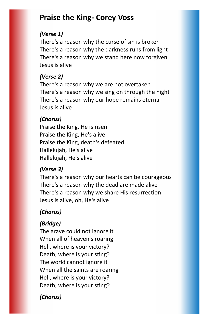# **Praise the King- Corey Voss**

#### *(Verse 1)*

There's a reason why the curse of sin is broken There's a reason why the darkness runs from light There's a reason why we stand here now forgiven Jesus is alive

#### *(Verse 2)*

There's a reason why we are not overtaken There's a reason why we sing on through the night There's a reason why our hope remains eternal Jesus is alive

#### *(Chorus)*

Praise the King, He is risen Praise the King, He's alive Praise the King, death's defeated Hallelujah, He's alive Hallelujah, He's alive

## *(Verse 3)*

There's a reason why our hearts can be courageous There's a reason why the dead are made alive There's a reason why we share His resurrection Jesus is alive, oh, He's alive

## *(Chorus)*

## *(Bridge)*

The grave could not ignore it When all of heaven's roaring Hell, where is your victory? Death, where is your sting? The world cannot ignore it When all the saints are roaring Hell, where is your victory? Death, where is your sting?

*(Chorus)*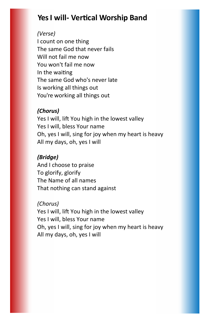## **Yes I will- Vertical Worship Band**

#### *(Verse)*

I count on one thing The same God that never fails Will not fail me now You won't fail me now In the waiting The same God who's never late Is working all things out You're working all things out

#### *(Chorus)*

Yes I will, lift You high in the lowest valley Yes I will, bless Your name Oh, yes I will, sing for joy when my heart is heavy All my days, oh, yes I will

#### *(Bridge)*

And I choose to praise To glorify, glorify The Name of all names That nothing can stand against

#### *(Chorus)*

Yes I will, lift You high in the lowest valley Yes I will, bless Your name Oh, yes I will, sing for joy when my heart is heavy All my days, oh, yes I will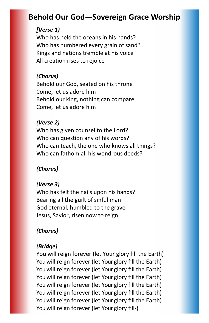# **Behold Our God—Sovereign Grace Worship**

#### *[Verse 1)*

Who has held the oceans in his hands? Who has numbered every grain of sand? Kings and nations tremble at his voice All creation rises to rejoice

#### *(Chorus)*

Behold our God, seated on his throne Come, let us adore him Behold our king, nothing can compare Come, let us adore him

#### *(Verse 2)*

Who has given counsel to the Lord? Who can question any of his words? Who can teach, the one who knows all things? Who can fathom all his wondrous deeds?

### *(Chorus)*

#### *(Verse 3)*

Who has felt the nails upon his hands? Bearing all the guilt of sinful man God eternal, humbled to the grave Jesus, Savior, risen now to reign

## *(Chorus)*

#### *(Bridge)*

You will reign forever (let Your glory fill the Earth) You will reign forever (let Your glory fill the Earth) You will reign forever (let Your glory fill the Earth) You will reign forever (let Your glory fill the Earth) You will reign forever (let Your glory fill the Earth) You will reign forever (let Your glory fill the Earth) You will reign forever (let Your glory fill the Earth) You will reign forever (let Your glory fill-)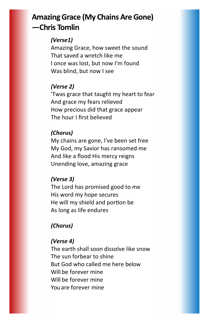# **Amazing Grace (My Chains Are Gone) —Chris Tomlin**

#### *(Verse1)*

Amazing Grace, how sweet the sound That saved a wretch like me I once was lost, but now I'm found Was blind, but now I see

#### *(Verse 2)*

'Twas grace that taught my heart to fear And grace my fears relieved How precious did that grace appear The hour I first believed

#### *(Chorus)*

My chains are gone, I've been set free My God, my Savior has ransomed me And like a flood His mercy reigns Unending love, amazing grace

#### *(Verse 3)*

The Lord has promised good to me His word my hope secures He will my shield and portion be As long as life endures

#### *(Chorus)*

#### *(Verse 4)*

The earth shall soon dissolve like snow The sun forbear to shine But God who called me here below Will be forever mine Will be forever mine You are forever mine